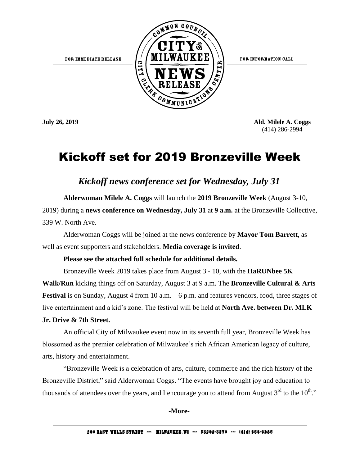

**July 26, 2019 Ald. Milele A. Coggs** (414) 286-2994

# Kickoff set for 2019 Bronzeville Week

*Kickoff news conference set for Wednesday, July 31*

**Alderwoman Milele A. Coggs** will launch the **2019 Bronzeville Week** (August 3-10, 2019) during a **news conference on Wednesday, July 31** at **9 a.m.** at the Bronzeville Collective, 339 W. North Ave.

Alderwoman Coggs will be joined at the news conference by **Mayor Tom Barrett**, as well as event supporters and stakeholders. **Media coverage is invited**.

# **Please see the attached full schedule for additional details.**

Bronzeville Week 2019 takes place from August 3 - 10, with the **HaRUNbee 5K Walk/Run** kicking things off on Saturday, August 3 at 9 a.m. The **Bronzeville Cultural & Arts Festival** is on Sunday, August 4 from 10 a.m. – 6 p.m. and features vendors, food, three stages of live entertainment and a kid's zone. The festival will be held at **North Ave. between Dr. MLK** 

# **Jr. Drive & 7th Street.**

An official City of Milwaukee event now in its seventh full year, Bronzeville Week has blossomed as the premier celebration of Milwaukee's rich African American legacy of culture, arts, history and entertainment.

"Bronzeville Week is a celebration of arts, culture, commerce and the rich history of the Bronzeville District," said Alderwoman Coggs. "The events have brought joy and education to thousands of attendees over the years, and I encourage you to attend from August  $3^{rd}$  to the  $10^{th}$ ."

# **-More-**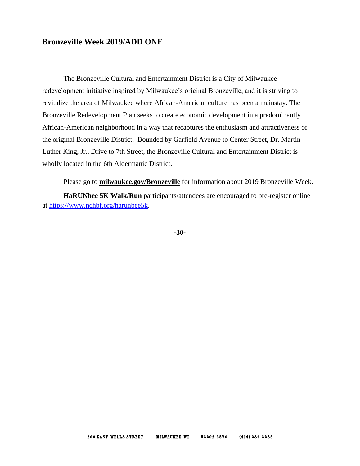# **Bronzeville Week 2019/ADD ONE**

The Bronzeville Cultural and Entertainment District is a City of Milwaukee redevelopment initiative inspired by Milwaukee's original Bronzeville, and it is striving to revitalize the area of Milwaukee where African-American culture has been a mainstay. The Bronzeville Redevelopment Plan seeks to create economic development in a predominantly African-American neighborhood in a way that recaptures the enthusiasm and attractiveness of the original Bronzeville District. Bounded by Garfield Avenue to Center Street, Dr. Martin Luther King, Jr., Drive to 7th Street, the Bronzeville Cultural and Entertainment District is wholly located in the 6th Aldermanic District.

Please go to **[milwaukee.gov/Bronzeville](http://milwaukee.gov/Bronzeville)** for information about 2019 Bronzeville Week. **HaRUNbee 5K Walk/Run** participants/attendees are encouraged to pre-register online at [https://www.nchbf.org/harunbee5k.](https://www.nchbf.org/harunbee5k)

**-30-**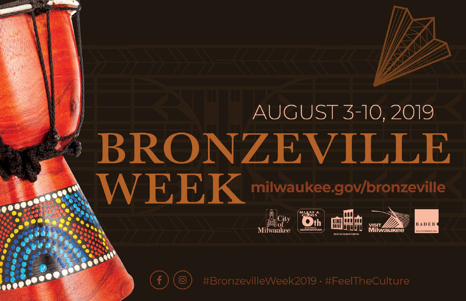# **AUGUST 3-10, 2019** BRONZEVILLE **WEEK** milwaukee.gov/bronzeville



#BronzevilleWeek2019 · #FeelTheCulture